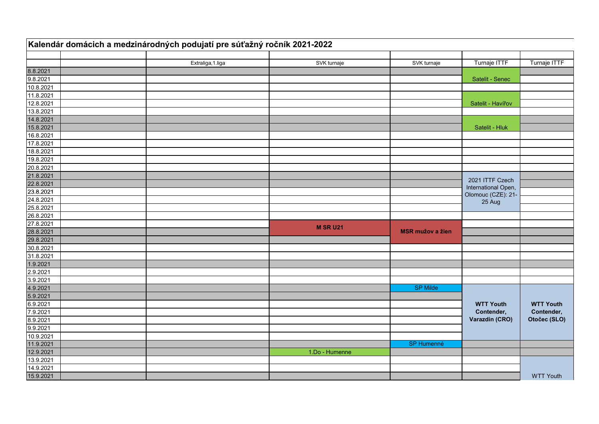|           | Kalendár domácich a medzinárodných podujatí pre súťažný ročník 2021-2022 |                 |                         |                                           |                  |
|-----------|--------------------------------------------------------------------------|-----------------|-------------------------|-------------------------------------------|------------------|
|           | Extraliga, 1.liga                                                        | SVK turnaje     | SVK turnaje             | Turnaje ITTF                              | Turnaje ITTF     |
| 8.8.2021  |                                                                          |                 |                         |                                           |                  |
| 9.8.2021  |                                                                          |                 |                         | Satelit - Senec                           |                  |
| 10.8.2021 |                                                                          |                 |                         |                                           |                  |
| 11.8.2021 |                                                                          |                 |                         |                                           |                  |
| 12.8.2021 |                                                                          |                 |                         | Satelit - Havířov                         |                  |
| 13.8.2021 |                                                                          |                 |                         |                                           |                  |
| 14.8.2021 |                                                                          |                 |                         |                                           |                  |
| 15.8.2021 |                                                                          |                 |                         | Satelit - Hluk                            |                  |
| 16.8.2021 |                                                                          |                 |                         |                                           |                  |
| 17.8.2021 |                                                                          |                 |                         |                                           |                  |
| 18.8.2021 |                                                                          |                 |                         |                                           |                  |
| 19.8.2021 |                                                                          |                 |                         |                                           |                  |
| 20.8.2021 |                                                                          |                 |                         |                                           |                  |
| 21.8.2021 |                                                                          |                 |                         |                                           |                  |
| 22.8.2021 |                                                                          |                 |                         | 2021 ITTF Czech                           |                  |
| 23.8.2021 |                                                                          |                 |                         | International Open,<br>Olomouc (CZE): 21- |                  |
| 24.8.2021 |                                                                          |                 |                         | 25 Aug                                    |                  |
| 25.8.2021 |                                                                          |                 |                         |                                           |                  |
| 26.8.2021 |                                                                          |                 |                         |                                           |                  |
| 27.8.2021 |                                                                          |                 |                         |                                           |                  |
| 28.8.2021 |                                                                          | <b>M SR U21</b> | <b>MSR mužov a žien</b> |                                           |                  |
| 29.8.2021 |                                                                          |                 |                         |                                           |                  |
| 30.8.2021 |                                                                          |                 |                         |                                           |                  |
| 31.8.2021 |                                                                          |                 |                         |                                           |                  |
| 1.9.2021  |                                                                          |                 |                         |                                           |                  |
| 2.9.2021  |                                                                          |                 |                         |                                           |                  |
| 3.9.2021  |                                                                          |                 |                         |                                           |                  |
| 4.9.2021  |                                                                          |                 | <b>SP Milde</b>         |                                           |                  |
| 5.9.2021  |                                                                          |                 |                         |                                           |                  |
| 6.9.2021  |                                                                          |                 |                         | <b>WTT Youth</b>                          | <b>WTT Youth</b> |
| 7.9.2021  |                                                                          |                 |                         | Contender,                                | Contender,       |
| 8.9.2021  |                                                                          |                 |                         | Varazdin (CRO)                            | Otočec (SLO)     |
| 9.9.2021  |                                                                          |                 |                         |                                           |                  |
| 10.9.2021 |                                                                          |                 |                         |                                           |                  |
| 11.9.2021 |                                                                          |                 | <b>SP Humenné</b>       |                                           |                  |
| 12.9.2021 |                                                                          | 1.Do - Humenne  |                         |                                           |                  |
| 13.9.2021 |                                                                          |                 |                         |                                           |                  |
| 14.9.2021 |                                                                          |                 |                         |                                           |                  |
| 15.9.2021 |                                                                          |                 |                         |                                           | <b>WTT Youth</b> |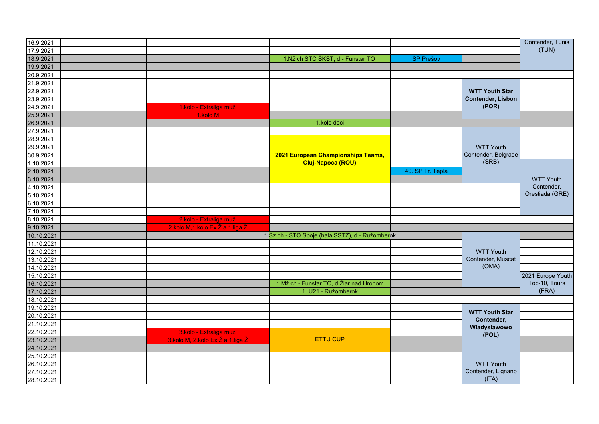| 16.9.2021  |                                  |                                                 |                  |                                     | Contender, Tunis  |
|------------|----------------------------------|-------------------------------------------------|------------------|-------------------------------------|-------------------|
| 17.9.2021  |                                  |                                                 |                  |                                     | (TUN)             |
| 18.9.2021  |                                  | 1.Nž ch STC ŠKST, d - Funstar TO                | <b>SP Prešov</b> |                                     |                   |
| 19.9.2021  |                                  |                                                 |                  |                                     |                   |
| 20.9.2021  |                                  |                                                 |                  |                                     |                   |
| 21.9.2021  |                                  |                                                 |                  |                                     |                   |
| 22.9.2021  |                                  |                                                 |                  | <b>WTT Youth Star</b>               |                   |
| 23.9.2021  |                                  |                                                 |                  | <b>Contender, Lisbon</b>            |                   |
| 24.9.2021  | 1.kolo - Extraliga muži          |                                                 |                  | ( POR)                              |                   |
| 25.9.2021  | 1.kolo M                         |                                                 |                  |                                     |                   |
| 26.9.2021  |                                  | 1.kolo doci                                     |                  |                                     |                   |
| 27.9.2021  |                                  |                                                 |                  |                                     |                   |
| 28.9.2021  |                                  |                                                 |                  |                                     |                   |
| 29.9.2021  |                                  |                                                 |                  | <b>WTT Youth</b>                    |                   |
| 30.9.2021  |                                  | 2021 European Championships Teams,              |                  | Contender, Belgrade                 |                   |
| 1.10.2021  |                                  | Cluj-Napoca (ROU)                               |                  | (SRB)                               |                   |
| 2.10.2021  |                                  |                                                 | 40. SP Tr. Teplá |                                     |                   |
| 3.10.2021  |                                  |                                                 |                  |                                     | <b>WTT Youth</b>  |
| 4.10.2021  |                                  |                                                 |                  |                                     | Contender,        |
| 5.10.2021  |                                  |                                                 |                  |                                     | Orestiada (GRE)   |
| 6.10.2021  |                                  |                                                 |                  |                                     |                   |
| 7.10.2021  |                                  |                                                 |                  |                                     |                   |
| 8.10.2021  | 2.kolo - Extraliga muži          |                                                 |                  |                                     |                   |
| 9.10.2021  | 2.kolo M,1.kolo Ex Ž a 1.liga Ž  |                                                 |                  |                                     |                   |
| 10.10.2021 |                                  | 1.Sz ch - STO Spoje (hala SSTZ), d - Ružomberok |                  |                                     |                   |
| 11.10.2021 |                                  |                                                 |                  |                                     |                   |
| 12.10.2021 |                                  |                                                 |                  | <b>WTT Youth</b>                    |                   |
| 13.10.2021 |                                  |                                                 |                  | Contender, Muscat                   |                   |
| 14.10.2021 |                                  |                                                 |                  | (OMA)                               |                   |
| 15.10.2021 |                                  |                                                 |                  |                                     | 2021 Europe Youth |
| 16.10.2021 |                                  | 1. Mž ch - Funstar TO, d Žiar nad Hronom        |                  |                                     | Top-10, Tours     |
| 17.10.2021 |                                  | 1. U21 - Ružomberok                             |                  |                                     | (FRA)             |
| 18.10.2021 |                                  |                                                 |                  |                                     |                   |
| 19.10.2021 |                                  |                                                 |                  |                                     |                   |
| 20.10.2021 |                                  |                                                 |                  | <b>WTT Youth Star</b><br>Contender, |                   |
| 21.10.2021 |                                  |                                                 |                  | Wladyslawowo                        |                   |
| 22.10.2021 | 3.kolo - Extraliga muži          |                                                 |                  | (POL)                               |                   |
| 23.10.2021 | 3.kolo M, 2.kolo Ex Ž a 1.liga Ž | <b>ETTU CUP</b>                                 |                  |                                     |                   |
| 24.10.2021 |                                  |                                                 |                  |                                     |                   |
| 25.10.2021 |                                  |                                                 |                  |                                     |                   |
| 26.10.2021 |                                  |                                                 |                  | <b>WTT Youth</b>                    |                   |
| 27.10.2021 |                                  |                                                 |                  | Contender, Lignano                  |                   |
| 28.10.2021 |                                  |                                                 |                  | (ITA)                               |                   |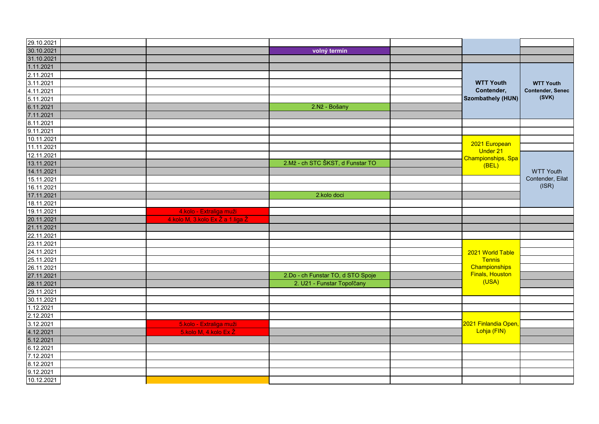| 29.10.2021               |                                  |                                   |                             |                         |
|--------------------------|----------------------------------|-----------------------------------|-----------------------------|-------------------------|
| 30.10.2021               |                                  | volný termín                      |                             |                         |
| 31.10.2021               |                                  |                                   |                             |                         |
| 1.11.2021                |                                  |                                   |                             |                         |
| 2.11.2021                |                                  |                                   |                             |                         |
| 3.11.2021                |                                  |                                   | <b>WTT Youth</b>            | <b>WTT Youth</b>        |
| 4.11.2021                |                                  |                                   | Contender,                  | <b>Contender, Senec</b> |
| 5.11.2021                |                                  |                                   | <b>Szombathely (HUN)</b>    | (SVK)                   |
| 6.11.2021                |                                  | 2.Nž - Bošany                     |                             |                         |
| 7.11.2021                |                                  |                                   |                             |                         |
| 8.11.2021                |                                  |                                   |                             |                         |
| 9.11.2021                |                                  |                                   |                             |                         |
| 10.11.2021               |                                  |                                   |                             |                         |
| 11.11.2021               |                                  |                                   | 2021 European               |                         |
| 12.11.2021               |                                  |                                   | Under 21                    |                         |
| 13.11.2021               |                                  | 2.Mž - ch STC ŠKST, d Funstar TO  | Championships, Spa<br>(BEL) |                         |
|                          |                                  |                                   |                             | <b>WTT Youth</b>        |
| 14.11.2021<br>15.11.2021 |                                  |                                   |                             | Contender, Eilat        |
| 16.11.2021               |                                  |                                   |                             | (ISR)                   |
|                          |                                  |                                   |                             |                         |
| 17.11.2021               |                                  | 2.kolo doci                       |                             |                         |
| 18.11.2021               |                                  |                                   |                             |                         |
| 19.11.2021               | 4.kolo - Extraliga muži          |                                   |                             |                         |
| 20.11.2021               | 4.kolo M, 3.kolo Ex Ž a 1.liga Ž |                                   |                             |                         |
| 21.11.2021               |                                  |                                   |                             |                         |
| 22.11.2021               |                                  |                                   |                             |                         |
| 23.11.2021               |                                  |                                   |                             |                         |
| 24.11.2021               |                                  |                                   | 2021 World Table            |                         |
| 25.11.2021               |                                  |                                   | <b>Tennis</b>               |                         |
| 26.11.2021               |                                  |                                   | Championships               |                         |
| 27.11.2021               |                                  | 2.Do - ch Funstar TO, d STO Spoje | <b>Finals, Houston</b>      |                         |
| 28.11.2021               |                                  | 2. U21 - Funstar Topoľčany        | (USA)                       |                         |
| 29.11.2021               |                                  |                                   |                             |                         |
| 30.11.2021               |                                  |                                   |                             |                         |
| 1.12.2021                |                                  |                                   |                             |                         |
| 2.12.2021                |                                  |                                   |                             |                         |
| 3.12.2021                | 5.kolo - Extraliga muži          |                                   | 2021 Finlandia Open,        |                         |
| 4.12.2021                | 5.kolo M, 4.kolo Ex Ž            |                                   | Lohja (FIN)                 |                         |
| 5.12.2021                |                                  |                                   |                             |                         |
| 6.12.2021                |                                  |                                   |                             |                         |
| 7.12.2021                |                                  |                                   |                             |                         |
| 8.12.2021                |                                  |                                   |                             |                         |
| 9.12.2021                |                                  |                                   |                             |                         |
| 10.12.2021               |                                  |                                   |                             |                         |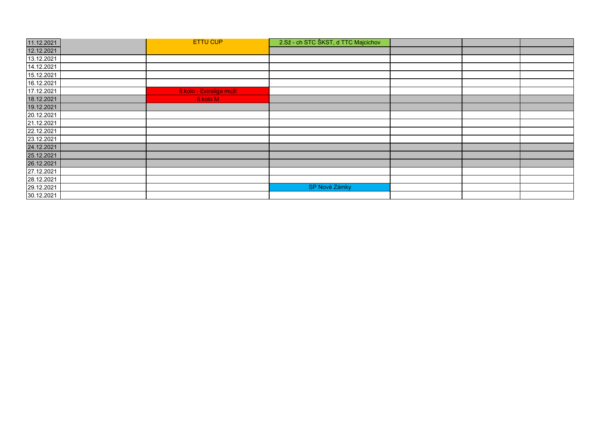| 11.12.2021 | <b>ETTU CUP</b>         | 2.Sž - ch STC ŠKST, d TTC Majcichov |  |  |
|------------|-------------------------|-------------------------------------|--|--|
| 12.12.2021 |                         |                                     |  |  |
| 13.12.2021 |                         |                                     |  |  |
| 14.12.2021 |                         |                                     |  |  |
| 15.12.2021 |                         |                                     |  |  |
| 16.12.2021 |                         |                                     |  |  |
| 17.12.2021 | 6.kolo - Extraliga muži |                                     |  |  |
| 18.12.2021 | 6.kolo M                |                                     |  |  |
| 19.12.2021 |                         |                                     |  |  |
| 20.12.2021 |                         |                                     |  |  |
| 21.12.2021 |                         |                                     |  |  |
| 22.12.2021 |                         |                                     |  |  |
| 23.12.2021 |                         |                                     |  |  |
| 24.12.2021 |                         |                                     |  |  |
| 25.12.2021 |                         |                                     |  |  |
| 26.12.2021 |                         |                                     |  |  |
| 27.12.2021 |                         |                                     |  |  |
| 28.12.2021 |                         |                                     |  |  |
| 29.12.2021 |                         | SP Nové Zámky                       |  |  |
| 30.12.2021 |                         |                                     |  |  |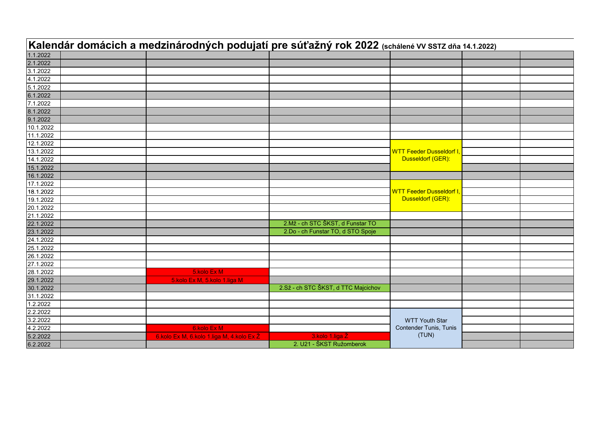|                      |                                           | Kalendár domácich a medzinárodných podujatí pre súťažný rok 2022 (schálené VV SSTZ dňa 14.1.2022) |                                |  |
|----------------------|-------------------------------------------|---------------------------------------------------------------------------------------------------|--------------------------------|--|
| 1.1.2022             |                                           |                                                                                                   |                                |  |
| 2.1.2022             |                                           |                                                                                                   |                                |  |
| 3.1.2022             |                                           |                                                                                                   |                                |  |
| 4.1.2022             |                                           |                                                                                                   |                                |  |
| 5.1.2022             |                                           |                                                                                                   |                                |  |
| 6.1.2022             |                                           |                                                                                                   |                                |  |
| 7.1.2022             |                                           |                                                                                                   |                                |  |
| 8.1.2022             |                                           |                                                                                                   |                                |  |
| 9.1.2022             |                                           |                                                                                                   |                                |  |
| 10.1.2022            |                                           |                                                                                                   |                                |  |
| 11.1.2022            |                                           |                                                                                                   |                                |  |
| 12.1.2022            |                                           |                                                                                                   |                                |  |
| 13.1.2022            |                                           |                                                                                                   | <b>WTT Feeder Dusseldorf I</b> |  |
| 14.1.2022            |                                           |                                                                                                   | Dusseldorf (GER):              |  |
| 15.1.2022            |                                           |                                                                                                   |                                |  |
| 16.1.2022            |                                           |                                                                                                   |                                |  |
| 17.1.2022            |                                           |                                                                                                   |                                |  |
| 18.1.2022            |                                           |                                                                                                   | <b>WTT Feeder Dusseldorf I</b> |  |
| 19.1.2022            |                                           |                                                                                                   | Dusseldorf (GER):              |  |
| 20.1.2022            |                                           |                                                                                                   |                                |  |
| 21.1.2022            |                                           |                                                                                                   |                                |  |
| 22.1.2022            |                                           | 2.Mž - ch STC ŠKST, d Funstar TO                                                                  |                                |  |
| 23.1.2022            |                                           | 2.Do - ch Funstar TO, d STO Spoje                                                                 |                                |  |
| 24.1.2022            |                                           |                                                                                                   |                                |  |
| 25.1.2022            |                                           |                                                                                                   |                                |  |
| 26.1.2022            |                                           |                                                                                                   |                                |  |
| 27.1.2022            |                                           |                                                                                                   |                                |  |
| 28.1.2022            | 5.kolo Ex M                               |                                                                                                   |                                |  |
| 29.1.2022            | 5.kolo Ex M, 5.kolo 1.liga M              |                                                                                                   |                                |  |
| 30.1.2022            |                                           | 2.Sž - ch STC ŠKST, d TTC Majcichov                                                               |                                |  |
| 31.1.2022            |                                           |                                                                                                   |                                |  |
| 1.2.2022             |                                           |                                                                                                   |                                |  |
| 2.2.2022             |                                           |                                                                                                   |                                |  |
| 3.2.2022             |                                           |                                                                                                   | <b>WTT Youth Star</b>          |  |
| 4.2.2022             | 6.kolo Ex M                               |                                                                                                   | Contender Tunis, Tunis         |  |
| 5.2.2022<br>6.2.2022 | 6.kolo Ex M, 6.kolo 1.liga M, 4.kolo Ex Ž | 3.kolo 1.liga Ž                                                                                   | (TUN)                          |  |
|                      |                                           | 2. U21 - ŠKST Ružomberok                                                                          |                                |  |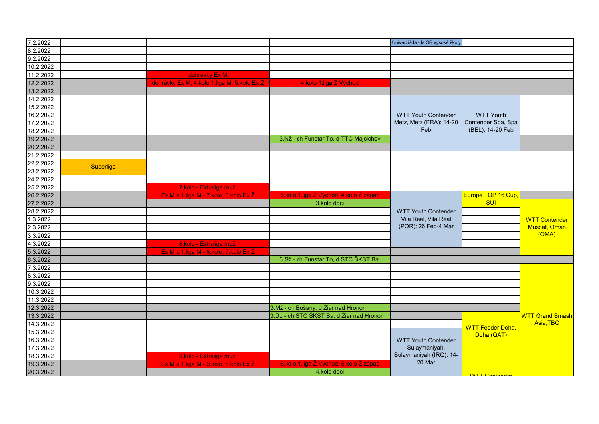| Univerziáda - M SR vysoké školy<br>dohrávky Ex M<br>dohrávky Ex M, 4.kolo 1.liga M, 5.kolo Ex Ž<br>4.kolo 1.liga Ž Východ<br>12.2.2022<br>14.2.2022<br>15.2.2022<br>16.2.2022<br><b>WTT Youth Contender</b><br><b>WTT Youth</b><br>Contender Spa, Spa<br>Metz, Metz (FRA): 14-20<br>(BEL): 14-20 Feb<br>Feb<br>18.2.2022<br>3.Nž - ch Funstar To, d TTC Majcichov<br>Superliga<br>7.kolo - Extraliga muži<br>5.kolo 1.liga Ž Východ, 4.kolo Ž západ<br>Ex M a 1.liga M - 7.kolo, 6.kolo Ex Ž<br>Europe TOP 16 Cup,<br><b>SUI</b><br>3.kolo doci<br><b>WTT Youth Contender</b><br>Vila Real, Vila Real<br>1.3.2022<br><b>WTT Contender</b><br>(POR): 26 Feb-4 Mar<br>Muscat, Oman<br>(OMA)<br>8.kolo - Extraliga muži<br>Ex M a 1.liga M - 8.kolo, 7.kolo Ex Ž<br>3.Sž - ch Funstar To, d STC ŠKST Ba<br>11.3.2022<br>3.Mž - ch Bošany, d Žiar nad Hronom<br>3.Do - ch STC ŠKST Ba, d Žiar nad Hronom<br>13.3.2022<br>Asia.TBC<br><b>WTT Feeder Doha,</b><br>15.3.2022<br>Doha (QAT)<br>16.3.2022<br><b>WTT Youth Contender</b><br>17.3.2022<br>Sulaymaniyah,<br>Sulaymaniyah (IRQ): 14-<br>18.3.2022<br>9.kolo - Extraliga muži<br>20 Mar<br>6.kolo 1.liga Ž Východ, 5.kolo Ž západ<br>Ex M a 1.liga M - 9.kolo, 8.kolo Ex Ž<br>4.kolo doci |           |  |  |                       |                              |
|---------------------------------------------------------------------------------------------------------------------------------------------------------------------------------------------------------------------------------------------------------------------------------------------------------------------------------------------------------------------------------------------------------------------------------------------------------------------------------------------------------------------------------------------------------------------------------------------------------------------------------------------------------------------------------------------------------------------------------------------------------------------------------------------------------------------------------------------------------------------------------------------------------------------------------------------------------------------------------------------------------------------------------------------------------------------------------------------------------------------------------------------------------------------------------------------------------------------------------------------|-----------|--|--|-----------------------|------------------------------|
|                                                                                                                                                                                                                                                                                                                                                                                                                                                                                                                                                                                                                                                                                                                                                                                                                                                                                                                                                                                                                                                                                                                                                                                                                                             | 7.2.2022  |  |  |                       |                              |
|                                                                                                                                                                                                                                                                                                                                                                                                                                                                                                                                                                                                                                                                                                                                                                                                                                                                                                                                                                                                                                                                                                                                                                                                                                             | 8.2.2022  |  |  |                       |                              |
|                                                                                                                                                                                                                                                                                                                                                                                                                                                                                                                                                                                                                                                                                                                                                                                                                                                                                                                                                                                                                                                                                                                                                                                                                                             | 9.2.2022  |  |  |                       |                              |
|                                                                                                                                                                                                                                                                                                                                                                                                                                                                                                                                                                                                                                                                                                                                                                                                                                                                                                                                                                                                                                                                                                                                                                                                                                             | 10.2.2022 |  |  |                       |                              |
|                                                                                                                                                                                                                                                                                                                                                                                                                                                                                                                                                                                                                                                                                                                                                                                                                                                                                                                                                                                                                                                                                                                                                                                                                                             | 11.2.2022 |  |  |                       |                              |
|                                                                                                                                                                                                                                                                                                                                                                                                                                                                                                                                                                                                                                                                                                                                                                                                                                                                                                                                                                                                                                                                                                                                                                                                                                             |           |  |  |                       |                              |
|                                                                                                                                                                                                                                                                                                                                                                                                                                                                                                                                                                                                                                                                                                                                                                                                                                                                                                                                                                                                                                                                                                                                                                                                                                             | 13.2.2022 |  |  |                       |                              |
|                                                                                                                                                                                                                                                                                                                                                                                                                                                                                                                                                                                                                                                                                                                                                                                                                                                                                                                                                                                                                                                                                                                                                                                                                                             |           |  |  |                       |                              |
|                                                                                                                                                                                                                                                                                                                                                                                                                                                                                                                                                                                                                                                                                                                                                                                                                                                                                                                                                                                                                                                                                                                                                                                                                                             |           |  |  |                       |                              |
|                                                                                                                                                                                                                                                                                                                                                                                                                                                                                                                                                                                                                                                                                                                                                                                                                                                                                                                                                                                                                                                                                                                                                                                                                                             |           |  |  |                       |                              |
|                                                                                                                                                                                                                                                                                                                                                                                                                                                                                                                                                                                                                                                                                                                                                                                                                                                                                                                                                                                                                                                                                                                                                                                                                                             | 17.2.2022 |  |  |                       |                              |
|                                                                                                                                                                                                                                                                                                                                                                                                                                                                                                                                                                                                                                                                                                                                                                                                                                                                                                                                                                                                                                                                                                                                                                                                                                             |           |  |  |                       |                              |
|                                                                                                                                                                                                                                                                                                                                                                                                                                                                                                                                                                                                                                                                                                                                                                                                                                                                                                                                                                                                                                                                                                                                                                                                                                             | 19.2.2022 |  |  |                       |                              |
|                                                                                                                                                                                                                                                                                                                                                                                                                                                                                                                                                                                                                                                                                                                                                                                                                                                                                                                                                                                                                                                                                                                                                                                                                                             | 20.2.2022 |  |  |                       |                              |
|                                                                                                                                                                                                                                                                                                                                                                                                                                                                                                                                                                                                                                                                                                                                                                                                                                                                                                                                                                                                                                                                                                                                                                                                                                             | 21.2.2022 |  |  |                       |                              |
|                                                                                                                                                                                                                                                                                                                                                                                                                                                                                                                                                                                                                                                                                                                                                                                                                                                                                                                                                                                                                                                                                                                                                                                                                                             | 22.2.2022 |  |  |                       |                              |
|                                                                                                                                                                                                                                                                                                                                                                                                                                                                                                                                                                                                                                                                                                                                                                                                                                                                                                                                                                                                                                                                                                                                                                                                                                             | 23.2.2022 |  |  |                       |                              |
|                                                                                                                                                                                                                                                                                                                                                                                                                                                                                                                                                                                                                                                                                                                                                                                                                                                                                                                                                                                                                                                                                                                                                                                                                                             | 24.2.2022 |  |  |                       |                              |
|                                                                                                                                                                                                                                                                                                                                                                                                                                                                                                                                                                                                                                                                                                                                                                                                                                                                                                                                                                                                                                                                                                                                                                                                                                             | 25.2.2022 |  |  |                       |                              |
|                                                                                                                                                                                                                                                                                                                                                                                                                                                                                                                                                                                                                                                                                                                                                                                                                                                                                                                                                                                                                                                                                                                                                                                                                                             | 26.2.2022 |  |  |                       |                              |
|                                                                                                                                                                                                                                                                                                                                                                                                                                                                                                                                                                                                                                                                                                                                                                                                                                                                                                                                                                                                                                                                                                                                                                                                                                             | 27.2.2022 |  |  |                       |                              |
|                                                                                                                                                                                                                                                                                                                                                                                                                                                                                                                                                                                                                                                                                                                                                                                                                                                                                                                                                                                                                                                                                                                                                                                                                                             | 28.2.2022 |  |  |                       |                              |
|                                                                                                                                                                                                                                                                                                                                                                                                                                                                                                                                                                                                                                                                                                                                                                                                                                                                                                                                                                                                                                                                                                                                                                                                                                             |           |  |  |                       |                              |
|                                                                                                                                                                                                                                                                                                                                                                                                                                                                                                                                                                                                                                                                                                                                                                                                                                                                                                                                                                                                                                                                                                                                                                                                                                             | 2.3.2022  |  |  |                       |                              |
|                                                                                                                                                                                                                                                                                                                                                                                                                                                                                                                                                                                                                                                                                                                                                                                                                                                                                                                                                                                                                                                                                                                                                                                                                                             | 3.3.2022  |  |  |                       |                              |
|                                                                                                                                                                                                                                                                                                                                                                                                                                                                                                                                                                                                                                                                                                                                                                                                                                                                                                                                                                                                                                                                                                                                                                                                                                             | 4.3.2022  |  |  |                       |                              |
|                                                                                                                                                                                                                                                                                                                                                                                                                                                                                                                                                                                                                                                                                                                                                                                                                                                                                                                                                                                                                                                                                                                                                                                                                                             | 5.3.2022  |  |  |                       |                              |
|                                                                                                                                                                                                                                                                                                                                                                                                                                                                                                                                                                                                                                                                                                                                                                                                                                                                                                                                                                                                                                                                                                                                                                                                                                             | 6.3.2022  |  |  |                       |                              |
|                                                                                                                                                                                                                                                                                                                                                                                                                                                                                                                                                                                                                                                                                                                                                                                                                                                                                                                                                                                                                                                                                                                                                                                                                                             | 7.3.2022  |  |  |                       |                              |
|                                                                                                                                                                                                                                                                                                                                                                                                                                                                                                                                                                                                                                                                                                                                                                                                                                                                                                                                                                                                                                                                                                                                                                                                                                             | 8.3.2022  |  |  |                       |                              |
|                                                                                                                                                                                                                                                                                                                                                                                                                                                                                                                                                                                                                                                                                                                                                                                                                                                                                                                                                                                                                                                                                                                                                                                                                                             | 9.3.2022  |  |  |                       |                              |
|                                                                                                                                                                                                                                                                                                                                                                                                                                                                                                                                                                                                                                                                                                                                                                                                                                                                                                                                                                                                                                                                                                                                                                                                                                             | 10.3.2022 |  |  |                       |                              |
|                                                                                                                                                                                                                                                                                                                                                                                                                                                                                                                                                                                                                                                                                                                                                                                                                                                                                                                                                                                                                                                                                                                                                                                                                                             |           |  |  |                       |                              |
|                                                                                                                                                                                                                                                                                                                                                                                                                                                                                                                                                                                                                                                                                                                                                                                                                                                                                                                                                                                                                                                                                                                                                                                                                                             | 12.3.2022 |  |  |                       |                              |
|                                                                                                                                                                                                                                                                                                                                                                                                                                                                                                                                                                                                                                                                                                                                                                                                                                                                                                                                                                                                                                                                                                                                                                                                                                             |           |  |  |                       | <mark>WTT Grand Smash</mark> |
|                                                                                                                                                                                                                                                                                                                                                                                                                                                                                                                                                                                                                                                                                                                                                                                                                                                                                                                                                                                                                                                                                                                                                                                                                                             | 14.3.2022 |  |  |                       |                              |
|                                                                                                                                                                                                                                                                                                                                                                                                                                                                                                                                                                                                                                                                                                                                                                                                                                                                                                                                                                                                                                                                                                                                                                                                                                             |           |  |  |                       |                              |
|                                                                                                                                                                                                                                                                                                                                                                                                                                                                                                                                                                                                                                                                                                                                                                                                                                                                                                                                                                                                                                                                                                                                                                                                                                             |           |  |  |                       |                              |
|                                                                                                                                                                                                                                                                                                                                                                                                                                                                                                                                                                                                                                                                                                                                                                                                                                                                                                                                                                                                                                                                                                                                                                                                                                             |           |  |  |                       |                              |
|                                                                                                                                                                                                                                                                                                                                                                                                                                                                                                                                                                                                                                                                                                                                                                                                                                                                                                                                                                                                                                                                                                                                                                                                                                             |           |  |  |                       |                              |
|                                                                                                                                                                                                                                                                                                                                                                                                                                                                                                                                                                                                                                                                                                                                                                                                                                                                                                                                                                                                                                                                                                                                                                                                                                             | 19.3.2022 |  |  |                       |                              |
|                                                                                                                                                                                                                                                                                                                                                                                                                                                                                                                                                                                                                                                                                                                                                                                                                                                                                                                                                                                                                                                                                                                                                                                                                                             | 20.3.2022 |  |  | <b>WITT Contander</b> |                              |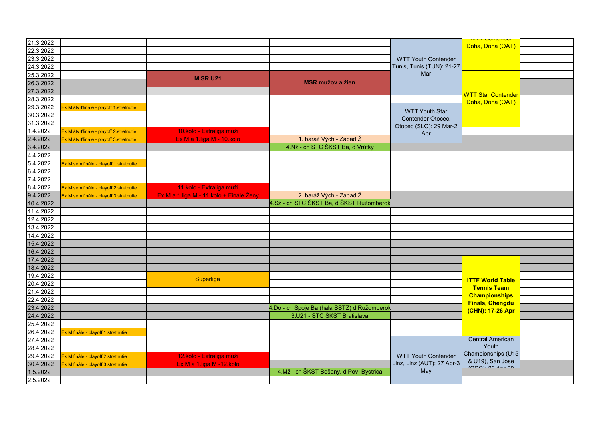| 21.3.2022 |                                         |                                         |                                             |                                            | <b>VVIII CURRENCE</b><br>Doha, Doha (QAT)     |  |
|-----------|-----------------------------------------|-----------------------------------------|---------------------------------------------|--------------------------------------------|-----------------------------------------------|--|
| 22.3.2022 |                                         |                                         |                                             |                                            |                                               |  |
| 23.3.2022 |                                         |                                         |                                             | <b>WTT Youth Contender</b>                 |                                               |  |
| 24.3.2022 |                                         |                                         |                                             | Tunis, Tunis (TUN): 21-27                  |                                               |  |
| 25.3.2022 |                                         | <b>M SR U21</b>                         |                                             | Mar                                        |                                               |  |
| 26.3.2022 |                                         |                                         | <b>MSR mužov a žien</b>                     |                                            |                                               |  |
| 27.3.2022 |                                         |                                         |                                             |                                            | <b>WTT Star Contender</b>                     |  |
| 28.3.2022 |                                         |                                         |                                             |                                            | Doha, Doha (QAT)                              |  |
| 29.3.2022 | Ex M štvrťfinále - playoff 1.stretnutie |                                         |                                             |                                            |                                               |  |
| 30.3.2022 |                                         |                                         |                                             | <b>WTT Youth Star</b><br>Contender Otocec, |                                               |  |
| 31.3.2022 |                                         |                                         |                                             | Otocec (SLO): 29 Mar-2                     |                                               |  |
| 1.4.2022  | Ex M štvrťfinále - playoff 2.stretnutie | 10.kolo - Extraliga muži                |                                             | Apr                                        |                                               |  |
| 2.4.2022  | Ex M štvrťfinále - playoff 3.stretnutie | Ex M a 1.liga M - 10.kolo               | 1. baráž Vých - Západ Ž                     |                                            |                                               |  |
| 3.4.2022  |                                         |                                         | 4.Nž - ch STC ŠKST Ba, d Vrútky             |                                            |                                               |  |
| 4.4.2022  |                                         |                                         |                                             |                                            |                                               |  |
| 5.4.2022  | Ex M semifinále - playoff 1.stretnutie  |                                         |                                             |                                            |                                               |  |
| 6.4.2022  |                                         |                                         |                                             |                                            |                                               |  |
| 7.4.2022  |                                         |                                         |                                             |                                            |                                               |  |
| 8.4.2022  | Ex M semifinále - playoff 2.stretnutie  | 11.kolo - Extraliga muži                |                                             |                                            |                                               |  |
| 9.4.2022  | Ex M semifinále - playoff 3.stretnutie  | Ex M a 1.liga M - 11.kolo + Finále Ženy | 2. baráž Vých - Západ Ž                     |                                            |                                               |  |
| 10.4.2022 |                                         |                                         | 4.Sž - ch STC ŠKST Ba, d ŠKST Ružomberok    |                                            |                                               |  |
| 11.4.2022 |                                         |                                         |                                             |                                            |                                               |  |
| 12.4.2022 |                                         |                                         |                                             |                                            |                                               |  |
| 13.4.2022 |                                         |                                         |                                             |                                            |                                               |  |
| 14.4.2022 |                                         |                                         |                                             |                                            |                                               |  |
| 15.4.2022 |                                         |                                         |                                             |                                            |                                               |  |
| 16.4.2022 |                                         |                                         |                                             |                                            |                                               |  |
| 17.4.2022 |                                         |                                         |                                             |                                            |                                               |  |
| 18.4.2022 |                                         |                                         |                                             |                                            |                                               |  |
| 19.4.2022 |                                         | Superliga                               |                                             |                                            |                                               |  |
| 20.4.2022 |                                         |                                         |                                             |                                            | <b>ITTF World Table</b><br><b>Tennis Team</b> |  |
| 21.4.2022 |                                         |                                         |                                             |                                            | <b>Championships</b>                          |  |
| 22.4.2022 |                                         |                                         |                                             |                                            | <b>Finals, Chengdu</b>                        |  |
| 23.4.2022 |                                         |                                         | 4.Do - ch Spoje Ba (hala SSTZ) d Ružomberok |                                            | (CHN): 17-26 Apr                              |  |
| 24.4.2022 |                                         |                                         | 3.U21 - STC ŠKST Bratislava                 |                                            |                                               |  |
| 25.4.2022 |                                         |                                         |                                             |                                            |                                               |  |
| 26.4.2022 | Ex M finále - playoff 1.stretnutie      |                                         |                                             |                                            |                                               |  |
| 27.4.2022 |                                         |                                         |                                             |                                            | <b>Central American</b>                       |  |
| 28.4.2022 |                                         |                                         |                                             |                                            | Youth                                         |  |
| 29.4.2022 | Ex M finále - playoff 2.stretnutie      | 12.kolo - Extraliga muži                |                                             | <b>WTT Youth Contender</b>                 | Championships (U15                            |  |
| 30.4.2022 | Ex M finále - playoff 3.stretnutie      | Ex M a 1.liga M -12.kolo                |                                             | Linz, Linz (AUT): 27 Apr-3                 | & U19), San Jose                              |  |
| 1.5.2022  |                                         |                                         | 4.Mž - ch ŠKST Bošany, d Pov. Bystrica      | May                                        |                                               |  |
| 2.5.2022  |                                         |                                         |                                             |                                            |                                               |  |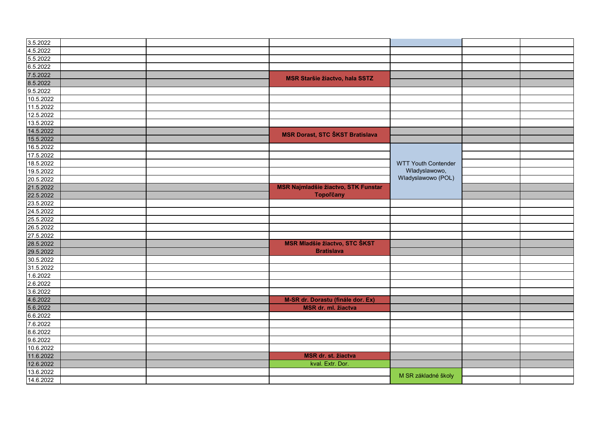| 3.5.2022  |  |                                            |                            |  |
|-----------|--|--------------------------------------------|----------------------------|--|
| 4.5.2022  |  |                                            |                            |  |
| 5.5.2022  |  |                                            |                            |  |
| 6.5.2022  |  |                                            |                            |  |
| 7.5.2022  |  | <b>MSR Staršie žiactvo, hala SSTZ</b>      |                            |  |
| 8.5.2022  |  |                                            |                            |  |
| 9.5.2022  |  |                                            |                            |  |
| 10.5.2022 |  |                                            |                            |  |
| 11.5.2022 |  |                                            |                            |  |
| 12.5.2022 |  |                                            |                            |  |
| 13.5.2022 |  |                                            |                            |  |
| 14.5.2022 |  | <b>MSR Dorast, STC ŠKST Bratislava</b>     |                            |  |
| 15.5.2022 |  |                                            |                            |  |
| 16.5.2022 |  |                                            |                            |  |
| 17.5.2022 |  |                                            |                            |  |
| 18.5.2022 |  |                                            | <b>WTT Youth Contender</b> |  |
| 19.5.2022 |  |                                            | Wladyslawowo,              |  |
| 20.5.2022 |  |                                            | Wladyslawowo (POL)         |  |
| 21.5.2022 |  | <b>MSR Najmladšie žiactvo, STK Funstar</b> |                            |  |
| 22.5.2022 |  | <b>Topoľčany</b>                           |                            |  |
| 23.5.2022 |  |                                            |                            |  |
| 24.5.2022 |  |                                            |                            |  |
| 25.5.2022 |  |                                            |                            |  |
| 26.5.2022 |  |                                            |                            |  |
| 27.5.2022 |  |                                            |                            |  |
| 28.5.2022 |  | <b>MSR Mladšie žiactvo, STC ŠKST</b>       |                            |  |
| 29.5.2022 |  | <b>Bratislava</b>                          |                            |  |
| 30.5.2022 |  |                                            |                            |  |
| 31.5.2022 |  |                                            |                            |  |
| 1.6.2022  |  |                                            |                            |  |
| 2.6.2022  |  |                                            |                            |  |
| 3.6.2022  |  |                                            |                            |  |
| 4.6.2022  |  | M-SR dr. Dorastu (finále dor. Ex)          |                            |  |
| 5.6.2022  |  | MSR dr. ml. žiactva                        |                            |  |
| 6.6.2022  |  |                                            |                            |  |
| 7.6.2022  |  |                                            |                            |  |
| 8.6.2022  |  |                                            |                            |  |
| 9.6.2022  |  |                                            |                            |  |
| 10.6.2022 |  |                                            |                            |  |
| 11.6.2022 |  | MSR dr. st. žiactva                        |                            |  |
| 12.6.2022 |  | kval. Extr. Dor.                           |                            |  |
| 13.6.2022 |  |                                            | M SR základné školy        |  |
| 14.6.2022 |  |                                            |                            |  |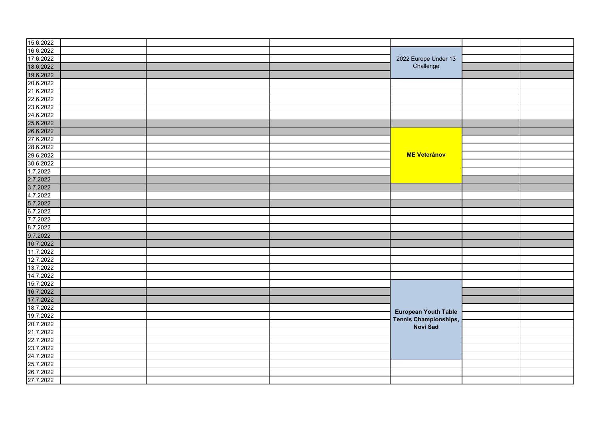| 15.6.2022 |  |                                   |  |
|-----------|--|-----------------------------------|--|
| 16.6.2022 |  |                                   |  |
| 17.6.2022 |  | 2022 Europe Under 13<br>Challenge |  |
| 18.6.2022 |  |                                   |  |
| 19.6.2022 |  |                                   |  |
| 20.6.2022 |  |                                   |  |
| 21.6.2022 |  |                                   |  |
| 22.6.2022 |  |                                   |  |
| 23.6.2022 |  |                                   |  |
| 24.6.2022 |  |                                   |  |
| 25.6.2022 |  |                                   |  |
| 26.6.2022 |  |                                   |  |
| 27.6.2022 |  |                                   |  |
| 28.6.2022 |  |                                   |  |
| 29.6.2022 |  | <b>ME Veteránov</b>               |  |
| 30.6.2022 |  |                                   |  |
| 1.7.2022  |  |                                   |  |
| 2.7.2022  |  |                                   |  |
| 3.7.2022  |  |                                   |  |
| 4.7.2022  |  |                                   |  |
| 5.7.2022  |  |                                   |  |
| 6.7.2022  |  |                                   |  |
| 7.7.2022  |  |                                   |  |
| 8.7.2022  |  |                                   |  |
| 9.7.2022  |  |                                   |  |
| 10.7.2022 |  |                                   |  |
| 11.7.2022 |  |                                   |  |
| 12.7.2022 |  |                                   |  |
| 13.7.2022 |  |                                   |  |
| 14.7.2022 |  |                                   |  |
| 15.7.2022 |  |                                   |  |
| 16.7.2022 |  |                                   |  |
| 17.7.2022 |  |                                   |  |
| 18.7.2022 |  |                                   |  |
| 19.7.2022 |  | <b>European Youth Table</b>       |  |
| 20.7.2022 |  | Tennis Championships,             |  |
| 21.7.2022 |  | <b>Novi Sad</b>                   |  |
| 22.7.2022 |  |                                   |  |
| 23.7.2022 |  |                                   |  |
| 24.7.2022 |  |                                   |  |
| 25.7.2022 |  |                                   |  |
| 26.7.2022 |  |                                   |  |
| 27.7.2022 |  |                                   |  |
|           |  |                                   |  |